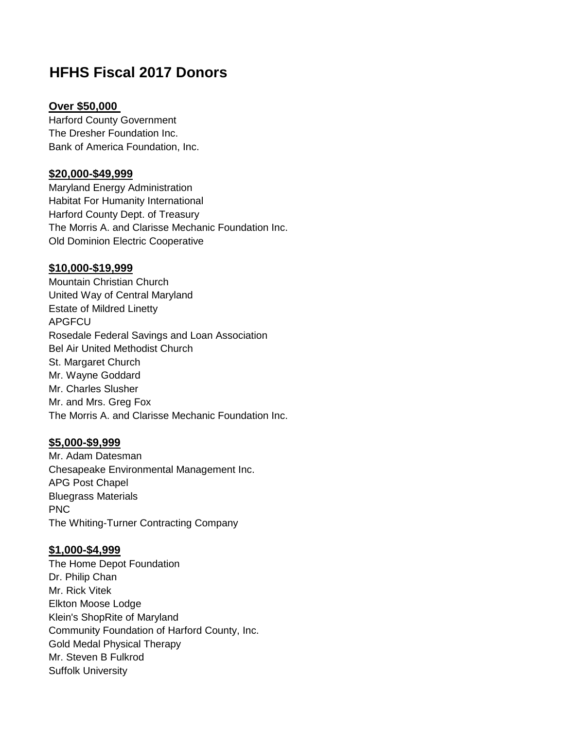# **HFHS Fiscal 2017 Donors**

#### **Over \$50,000**

Harford County Government The Dresher Foundation Inc. Bank of America Foundation, Inc.

# **\$20,000-\$49,999**

Maryland Energy Administration Habitat For Humanity International Harford County Dept. of Treasury The Morris A. and Clarisse Mechanic Foundation Inc. Old Dominion Electric Cooperative

# **\$10,000-\$19,999**

Mountain Christian Church United Way of Central Maryland Estate of Mildred Linetty APGFCU Rosedale Federal Savings and Loan Association Bel Air United Methodist Church St. Margaret Church Mr. Wayne Goddard Mr. Charles Slusher Mr. and Mrs. Greg Fox The Morris A. and Clarisse Mechanic Foundation Inc.

# **\$5,000-\$9,999**

Mr. Adam Datesman Chesapeake Environmental Management Inc. APG Post Chapel Bluegrass Materials PNC The Whiting-Turner Contracting Company

## **\$1,000-\$4,999**

The Home Depot Foundation Dr. Philip Chan Mr. Rick Vitek Elkton Moose Lodge Klein's ShopRite of Maryland Community Foundation of Harford County, Inc. Gold Medal Physical Therapy Mr. Steven B Fulkrod Suffolk University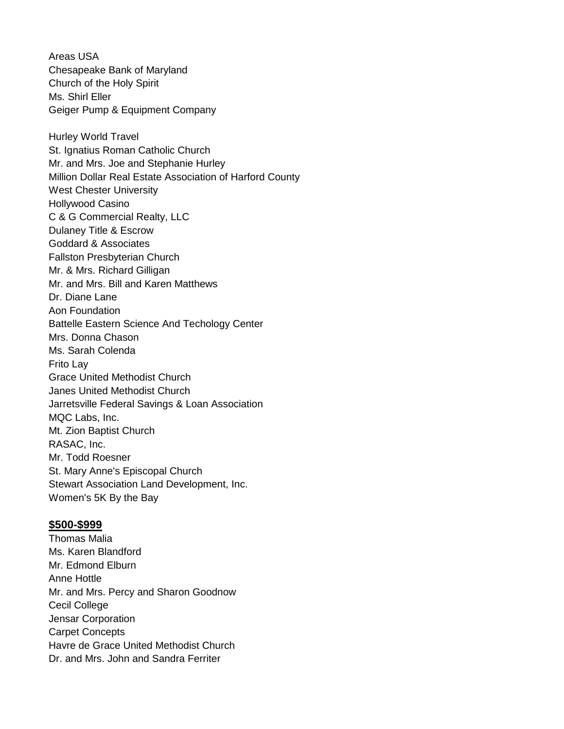Areas USA Chesapeake Bank of Maryland Church of the Holy Spirit Ms. Shirl Eller Geiger Pump & Equipment Company Hurley World Travel St. Ignatius Roman Catholic Church Mr. and Mrs. Joe and Stephanie Hurley Million Dollar Real Estate Association of Harford County West Chester University Hollywood Casino C & G Commercial Realty, LLC Dulaney Title & Escrow Goddard & Associates Fallston Presbyterian Church Mr. & Mrs. Richard Gilligan Mr. and Mrs. Bill and Karen Matthews Dr. Diane Lane Aon Foundation Battelle Eastern Science And Techology Center Mrs. Donna Chason Ms. Sarah Colenda Frito Lay Grace United Methodist Church Janes United Methodist Church Jarretsville Federal Savings & Loan Association MQC Labs, Inc. Mt. Zion Baptist Church RASAC, Inc. Mr. Todd Roesner St. Mary Anne's Episcopal Church Stewart Association Land Development, Inc. Women's 5K By the Bay

#### **\$500-\$999**

Thomas Malia Ms. Karen Blandford Mr. Edmond Elburn Anne Hottle Mr. and Mrs. Percy and Sharon Goodnow Cecil College Jensar Corporation Carpet Concepts Havre de Grace United Methodist Church Dr. and Mrs. John and Sandra Ferriter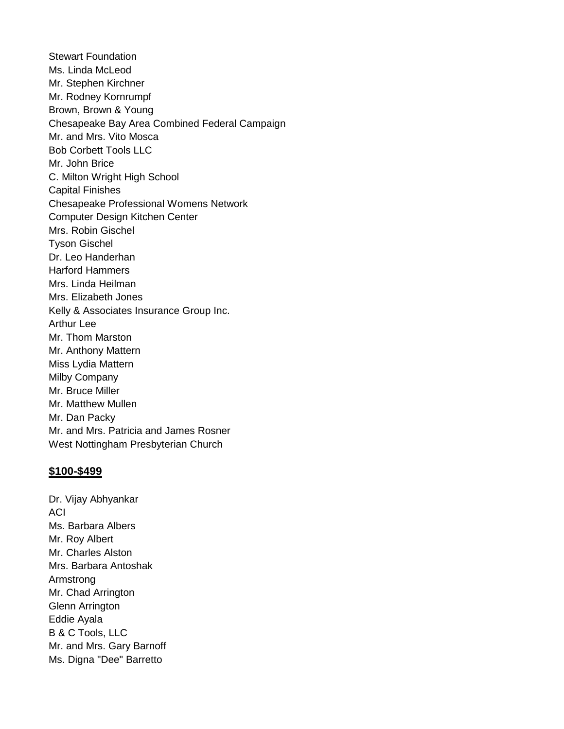Stewart Foundation Ms. Linda McLeod Mr. Stephen Kirchner Mr. Rodney Kornrumpf Brown, Brown & Young Chesapeake Bay Area Combined Federal Campaign Mr. and Mrs. Vito Mosca Bob Corbett Tools LLC Mr. John Brice C. Milton Wright High School Capital Finishes Chesapeake Professional Womens Network Computer Design Kitchen Center Mrs. Robin Gischel Tyson Gischel Dr. Leo Handerhan Harford Hammers Mrs. Linda Heilman Mrs. Elizabeth Jones Kelly & Associates Insurance Group Inc. Arthur Lee Mr. Thom Marston Mr. Anthony Mattern Miss Lydia Mattern Milby Company Mr. Bruce Miller Mr. Matthew Mullen Mr. Dan Packy Mr. and Mrs. Patricia and James Rosner West Nottingham Presbyterian Church

## **\$100-\$499**

Dr. Vijay Abhyankar **ACI** Ms. Barbara Albers Mr. Roy Albert Mr. Charles Alston Mrs. Barbara Antoshak Armstrong Mr. Chad Arrington Glenn Arrington Eddie Ayala B & C Tools, LLC Mr. and Mrs. Gary Barnoff Ms. Digna "Dee" Barretto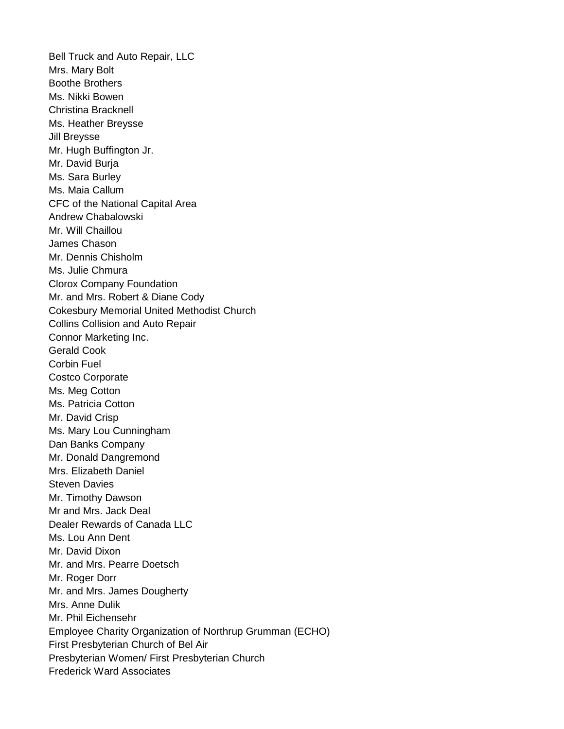Bell Truck and Auto Repair, LLC Mrs. Mary Bolt Boothe Brothers Ms. Nikki Bowen Christina Bracknell Ms. Heather Breysse Jill Breysse Mr. Hugh Buffington Jr. Mr. David Burja Ms. Sara Burley Ms. Maia Callum CFC of the National Capital Area Andrew Chabalowski Mr. Will Chaillou James Chason Mr. Dennis Chisholm Ms. Julie Chmura Clorox Company Foundation Mr. and Mrs. Robert & Diane Cody Cokesbury Memorial United Methodist Church Collins Collision and Auto Repair Connor Marketing Inc. Gerald Cook Corbin Fuel Costco Corporate Ms. Meg Cotton Ms. Patricia Cotton Mr. David Crisp Ms. Mary Lou Cunningham Dan Banks Company Mr. Donald Dangremond Mrs. Elizabeth Daniel Steven Davies Mr. Timothy Dawson Mr and Mrs. Jack Deal Dealer Rewards of Canada LLC Ms. Lou Ann Dent Mr. David Dixon Mr. and Mrs. Pearre Doetsch Mr. Roger Dorr Mr. and Mrs. James Dougherty Mrs. Anne Dulik Mr. Phil Eichensehr Employee Charity Organization of Northrup Grumman (ECHO) First Presbyterian Church of Bel Air Presbyterian Women/ First Presbyterian Church Frederick Ward Associates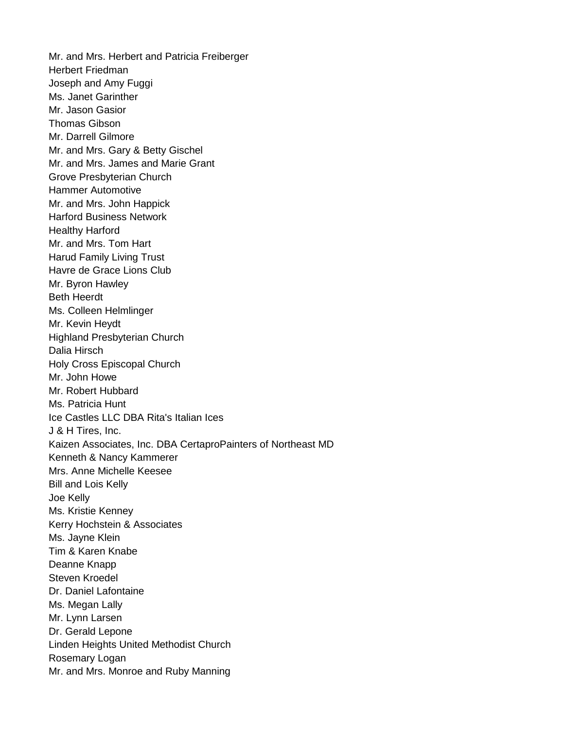Mr. and Mrs. Herbert and Patricia Freiberger Herbert Friedman Joseph and Amy Fuggi Ms. Janet Garinther Mr. Jason Gasior Thomas Gibson Mr. Darrell Gilmore Mr. and Mrs. Gary & Betty Gischel Mr. and Mrs. James and Marie Grant Grove Presbyterian Church Hammer Automotive Mr. and Mrs. John Happick Harford Business Network Healthy Harford Mr. and Mrs. Tom Hart Harud Family Living Trust Havre de Grace Lions Club Mr. Byron Hawley Beth Heerdt Ms. Colleen Helmlinger Mr. Kevin Heydt Highland Presbyterian Church Dalia Hirsch Holy Cross Episcopal Church Mr. John Howe Mr. Robert Hubbard Ms. Patricia Hunt Ice Castles LLC DBA Rita's Italian Ices J & H Tires, Inc. Kaizen Associates, Inc. DBA CertaproPainters of Northeast MD Kenneth & Nancy Kammerer Mrs. Anne Michelle Keesee Bill and Lois Kelly Joe Kelly Ms. Kristie Kenney Kerry Hochstein & Associates Ms. Jayne Klein Tim & Karen Knabe Deanne Knapp Steven Kroedel Dr. Daniel Lafontaine Ms. Megan Lally Mr. Lynn Larsen Dr. Gerald Lepone Linden Heights United Methodist Church Rosemary Logan Mr. and Mrs. Monroe and Ruby Manning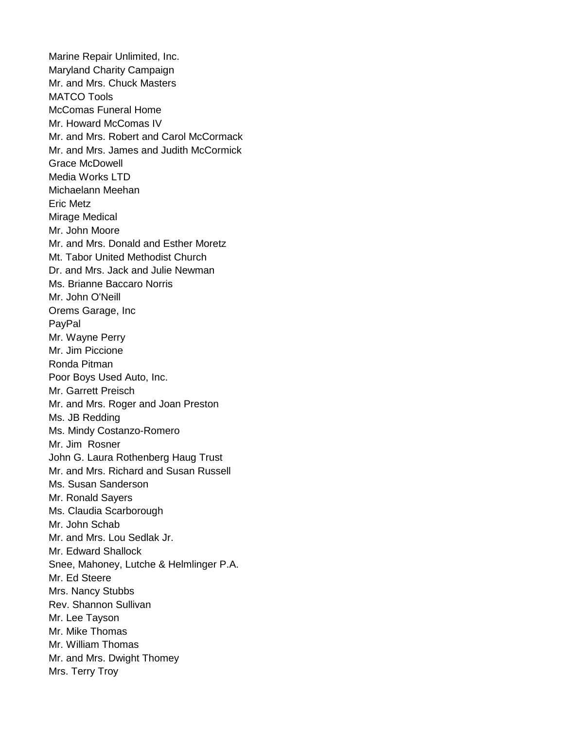Marine Repair Unlimited, Inc. Maryland Charity Campaign Mr. and Mrs. Chuck Masters MATCO Tools McComas Funeral Home Mr. Howard McComas IV Mr. and Mrs. Robert and Carol McCormack Mr. and Mrs. James and Judith McCormick Grace McDowell Media Works LTD Michaelann Meehan Eric Metz Mirage Medical Mr. John Moore Mr. and Mrs. Donald and Esther Moretz Mt. Tabor United Methodist Church Dr. and Mrs. Jack and Julie Newman Ms. Brianne Baccaro Norris Mr. John O'Neill Orems Garage, Inc PayPal Mr. Wayne Perry Mr. Jim Piccione Ronda Pitman Poor Boys Used Auto, Inc. Mr. Garrett Preisch Mr. and Mrs. Roger and Joan Preston Ms. JB Redding Ms. Mindy Costanzo-Romero Mr. Jim Rosner John G. Laura Rothenberg Haug Trust Mr. and Mrs. Richard and Susan Russell Ms. Susan Sanderson Mr. Ronald Sayers Ms. Claudia Scarborough Mr. John Schab Mr. and Mrs. Lou Sedlak Jr. Mr. Edward Shallock Snee, Mahoney, Lutche & Helmlinger P.A. Mr. Ed Steere Mrs. Nancy Stubbs Rev. Shannon Sullivan Mr. Lee Tayson Mr. Mike Thomas Mr. William Thomas Mr. and Mrs. Dwight Thomey Mrs. Terry Troy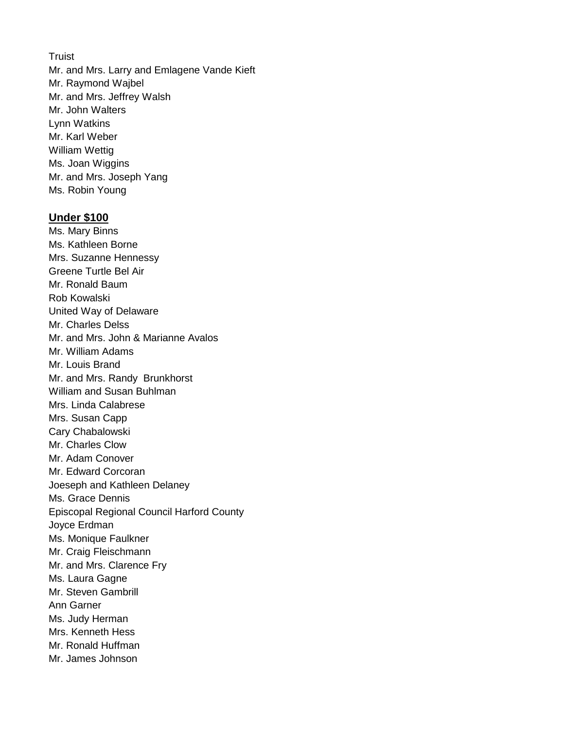**Truist** 

Mr. and Mrs. Larry and Emlagene Vande Kieft Mr. Raymond Wajbel Mr. and Mrs. Jeffrey Walsh Mr. John Walters Lynn Watkins Mr. Karl Weber William Wettig Ms. Joan Wiggins Mr. and Mrs. Joseph Yang Ms. Robin Young

#### **Under \$100**

Ms. Mary Binns Ms. Kathleen Borne Mrs. Suzanne Hennessy Greene Turtle Bel Air Mr. Ronald Baum Rob Kowalski United Way of Delaware Mr. Charles Delss Mr. and Mrs. John & Marianne Avalos Mr. William Adams Mr. Louis Brand Mr. and Mrs. Randy Brunkhorst William and Susan Buhlman Mrs. Linda Calabrese Mrs. Susan Capp Cary Chabalowski Mr. Charles Clow Mr. Adam Conover Mr. Edward Corcoran Joeseph and Kathleen Delaney Ms. Grace Dennis Episcopal Regional Council Harford County Joyce Erdman Ms. Monique Faulkner Mr. Craig Fleischmann Mr. and Mrs. Clarence Fry Ms. Laura Gagne Mr. Steven Gambrill Ann Garner Ms. Judy Herman Mrs. Kenneth Hess Mr. Ronald Huffman Mr. James Johnson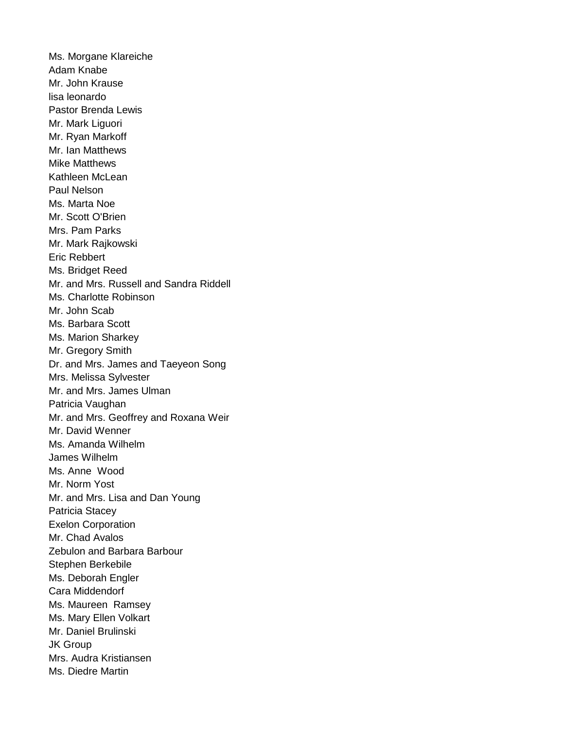Ms. Morgane Klareiche Adam Knabe Mr. John Krause lisa leonardo Pastor Brenda Lewis Mr. Mark Liguori Mr. Ryan Markoff Mr. Ian Matthews Mike Matthews Kathleen McLean Paul Nelson Ms. Marta Noe Mr. Scott O'Brien Mrs. Pam Parks Mr. Mark Rajkowski Eric Rebbert Ms. Bridget Reed Mr. and Mrs. Russell and Sandra Riddell Ms. Charlotte Robinson Mr. John Scab Ms. Barbara Scott Ms. Marion Sharkey Mr. Gregory Smith Dr. and Mrs. James and Taeyeon Song Mrs. Melissa Sylvester Mr. and Mrs. James Ulman Patricia Vaughan Mr. and Mrs. Geoffrey and Roxana Weir Mr. David Wenner Ms. Amanda Wilhelm James Wilhelm Ms. Anne Wood Mr. Norm Yost Mr. and Mrs. Lisa and Dan Young Patricia Stacey Exelon Corporation Mr. Chad Avalos Zebulon and Barbara Barbour Stephen Berkebile Ms. Deborah Engler Cara Middendorf Ms. Maureen Ramsey Ms. Mary Ellen Volkart Mr. Daniel Brulinski JK Group Mrs. Audra Kristiansen Ms. Diedre Martin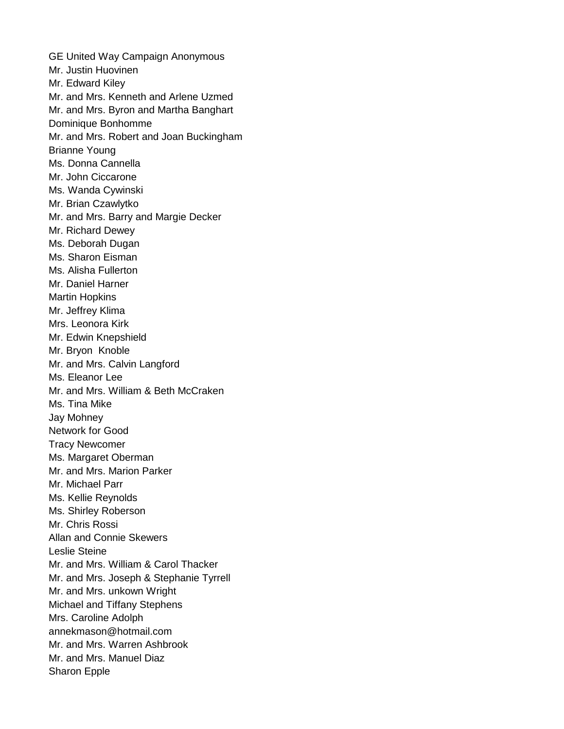GE United Way Campaign Anonymous Mr. Justin Huovinen Mr. Edward Kiley Mr. and Mrs. Kenneth and Arlene Uzmed Mr. and Mrs. Byron and Martha Banghart Dominique Bonhomme Mr. and Mrs. Robert and Joan Buckingham Brianne Young Ms. Donna Cannella Mr. John Ciccarone Ms. Wanda Cywinski Mr. Brian Czawlytko Mr. and Mrs. Barry and Margie Decker Mr. Richard Dewey Ms. Deborah Dugan Ms. Sharon Eisman Ms. Alisha Fullerton Mr. Daniel Harner Martin Hopkins Mr. Jeffrey Klima Mrs. Leonora Kirk Mr. Edwin Knepshield Mr. Bryon Knoble Mr. and Mrs. Calvin Langford Ms. Eleanor Lee Mr. and Mrs. William & Beth McCraken Ms. Tina Mike Jay Mohney Network for Good Tracy Newcomer Ms. Margaret Oberman Mr. and Mrs. Marion Parker Mr. Michael Parr Ms. Kellie Reynolds Ms. Shirley Roberson Mr. Chris Rossi Allan and Connie Skewers Leslie Steine Mr. and Mrs. William & Carol Thacker Mr. and Mrs. Joseph & Stephanie Tyrrell Mr. and Mrs. unkown Wright Michael and Tiffany Stephens Mrs. Caroline Adolph annekmason@hotmail.com Mr. and Mrs. Warren Ashbrook Mr. and Mrs. Manuel Diaz Sharon Epple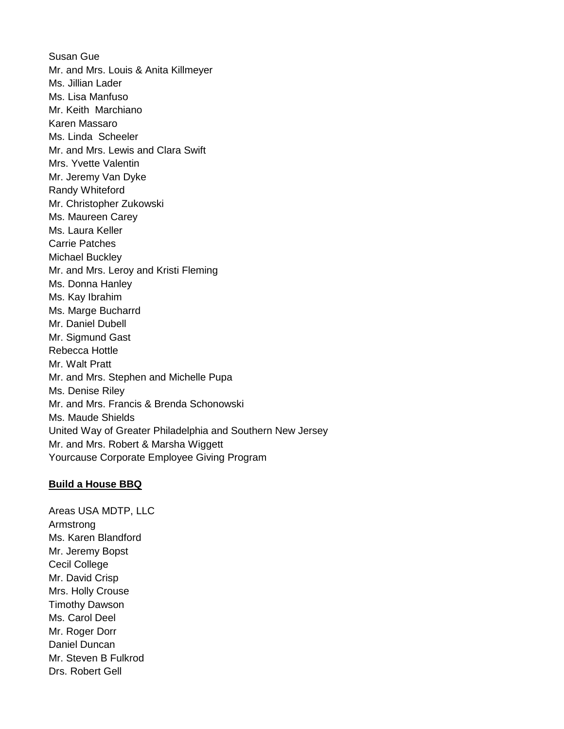Susan Gue Mr. and Mrs. Louis & Anita Killmeyer Ms. Jillian Lader Ms. Lisa Manfuso Mr. Keith Marchiano Karen Massaro Ms. Linda Scheeler Mr. and Mrs. Lewis and Clara Swift Mrs. Yvette Valentin Mr. Jeremy Van Dyke Randy Whiteford Mr. Christopher Zukowski Ms. Maureen Carey Ms. Laura Keller Carrie Patches Michael Buckley Mr. and Mrs. Leroy and Kristi Fleming Ms. Donna Hanley Ms. Kay Ibrahim Ms. Marge Bucharrd Mr. Daniel Dubell Mr. Sigmund Gast Rebecca Hottle Mr. Walt Pratt Mr. and Mrs. Stephen and Michelle Pupa Ms. Denise Riley Mr. and Mrs. Francis & Brenda Schonowski Ms. Maude Shields United Way of Greater Philadelphia and Southern New Jersey Mr. and Mrs. Robert & Marsha Wiggett Yourcause Corporate Employee Giving Program

#### **Build a House BBQ**

Areas USA MDTP, LLC Armstrong Ms. Karen Blandford Mr. Jeremy Bopst Cecil College Mr. David Crisp Mrs. Holly Crouse Timothy Dawson Ms. Carol Deel Mr. Roger Dorr Daniel Duncan Mr. Steven B Fulkrod Drs. Robert Gell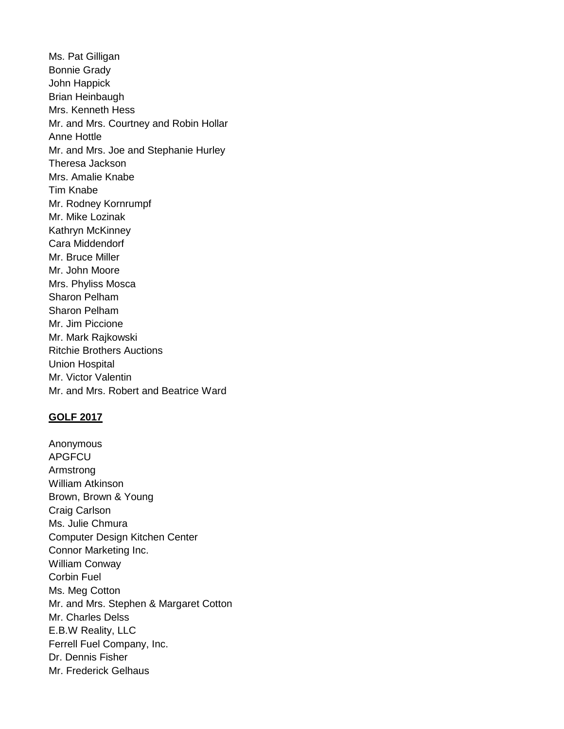Ms. Pat Gilligan Bonnie Grady John Happick Brian Heinbaugh Mrs. Kenneth Hess Mr. and Mrs. Courtney and Robin Hollar Anne Hottle Mr. and Mrs. Joe and Stephanie Hurley Theresa Jackson Mrs. Amalie Knabe Tim Knabe Mr. Rodney Kornrumpf Mr. Mike Lozinak Kathryn McKinney Cara Middendorf Mr. Bruce Miller Mr. John Moore Mrs. Phyliss Mosca Sharon Pelham Sharon Pelham Mr. Jim Piccione Mr. Mark Rajkowski Ritchie Brothers Auctions Union Hospital Mr. Victor Valentin Mr. and Mrs. Robert and Beatrice Ward

#### **GOLF 2017**

Anonymous APGFCU Armstrong William Atkinson Brown, Brown & Young Craig Carlson Ms. Julie Chmura Computer Design Kitchen Center Connor Marketing Inc. William Conway Corbin Fuel Ms. Meg Cotton Mr. and Mrs. Stephen & Margaret Cotton Mr. Charles Delss E.B.W Reality, LLC Ferrell Fuel Company, Inc. Dr. Dennis Fisher Mr. Frederick Gelhaus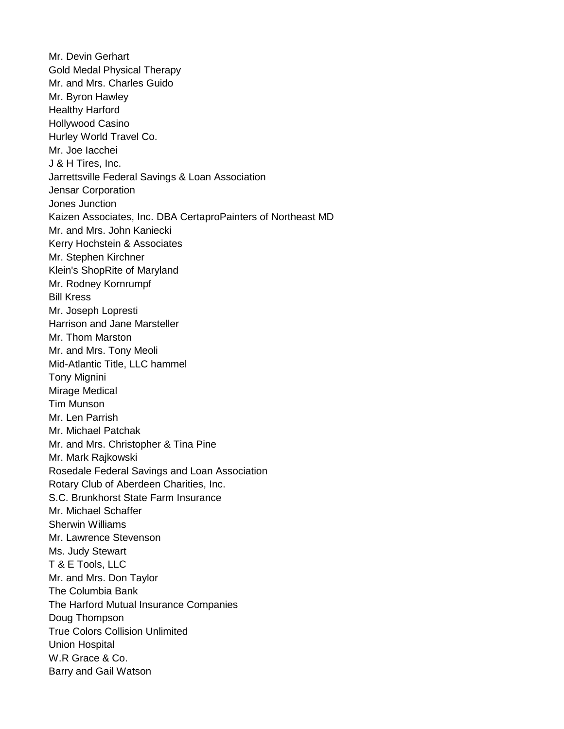Mr. Devin Gerhart Gold Medal Physical Therapy Mr. and Mrs. Charles Guido Mr. Byron Hawley Healthy Harford Hollywood Casino Hurley World Travel Co. Mr. Joe Iacchei J & H Tires, Inc. Jarrettsville Federal Savings & Loan Association Jensar Corporation Jones Junction Kaizen Associates, Inc. DBA CertaproPainters of Northeast MD Mr. and Mrs. John Kaniecki Kerry Hochstein & Associates Mr. Stephen Kirchner Klein's ShopRite of Maryland Mr. Rodney Kornrumpf Bill Kress Mr. Joseph Lopresti Harrison and Jane Marsteller Mr. Thom Marston Mr. and Mrs. Tony Meoli Mid-Atlantic Title, LLC hammel Tony Mignini Mirage Medical Tim Munson Mr. Len Parrish Mr. Michael Patchak Mr. and Mrs. Christopher & Tina Pine Mr. Mark Rajkowski Rosedale Federal Savings and Loan Association Rotary Club of Aberdeen Charities, Inc. S.C. Brunkhorst State Farm Insurance Mr. Michael Schaffer Sherwin Williams Mr. Lawrence Stevenson Ms. Judy Stewart T & E Tools, LLC Mr. and Mrs. Don Taylor The Columbia Bank The Harford Mutual Insurance Companies Doug Thompson True Colors Collision Unlimited Union Hospital W.R Grace & Co. Barry and Gail Watson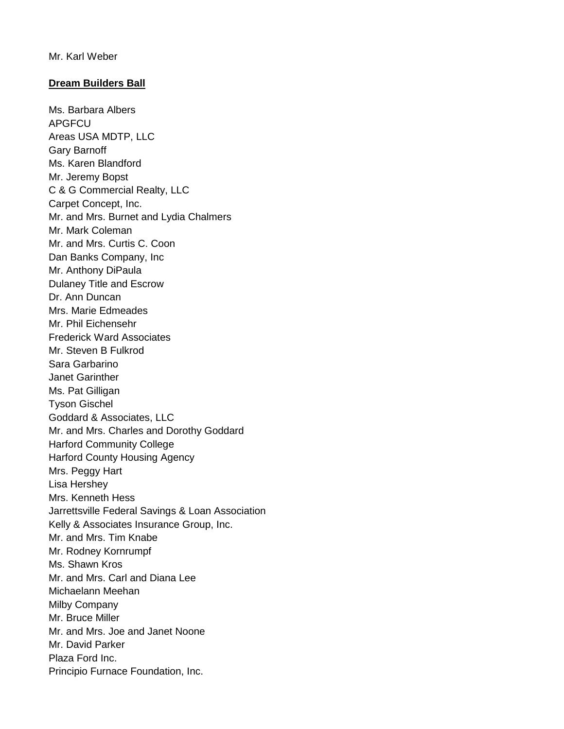## **Dream Builders Ball**

Ms. Barbara Albers APGFCU Areas USA MDTP, LLC Gary Barnoff Ms. Karen Blandford Mr. Jeremy Bopst C & G Commercial Realty, LLC Carpet Concept, Inc. Mr. and Mrs. Burnet and Lydia Chalmers Mr. Mark Coleman Mr. and Mrs. Curtis C. Coon Dan Banks Company, Inc Mr. Anthony DiPaula Dulaney Title and Escrow Dr. Ann Duncan Mrs. Marie Edmeades Mr. Phil Eichensehr Frederick Ward Associates Mr. Steven B Fulkrod Sara Garbarino Janet Garinther Ms. Pat Gilligan Tyson Gischel Goddard & Associates, LLC Mr. and Mrs. Charles and Dorothy Goddard Harford Community College Harford County Housing Agency Mrs. Peggy Hart Lisa Hershey Mrs. Kenneth Hess Jarrettsville Federal Savings & Loan Association Kelly & Associates Insurance Group, Inc. Mr. and Mrs. Tim Knabe Mr. Rodney Kornrumpf Ms. Shawn Kros Mr. and Mrs. Carl and Diana Lee Michaelann Meehan Milby Company Mr. Bruce Miller Mr. and Mrs. Joe and Janet Noone Mr. David Parker Plaza Ford Inc. Principio Furnace Foundation, Inc.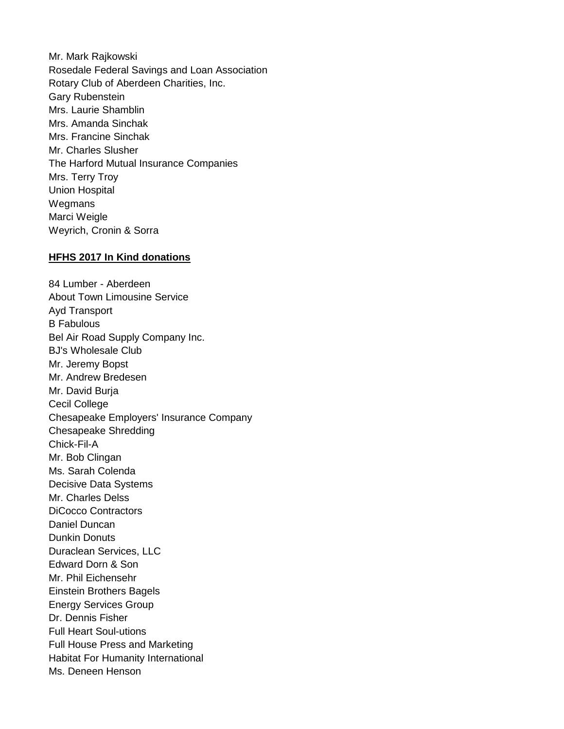Mr. Mark Rajkowski Rosedale Federal Savings and Loan Association Rotary Club of Aberdeen Charities, Inc. Gary Rubenstein Mrs. Laurie Shamblin Mrs. Amanda Sinchak Mrs. Francine Sinchak Mr. Charles Slusher The Harford Mutual Insurance Companies Mrs. Terry Troy Union Hospital **Wegmans** Marci Weigle Weyrich, Cronin & Sorra

#### **HFHS 2017 In Kind donations**

84 Lumber - Aberdeen About Town Limousine Service Ayd Transport B Fabulous Bel Air Road Supply Company Inc. BJ's Wholesale Club Mr. Jeremy Bopst Mr. Andrew Bredesen Mr. David Burja Cecil College Chesapeake Employers' Insurance Company Chesapeake Shredding Chick-Fil-A Mr. Bob Clingan Ms. Sarah Colenda Decisive Data Systems Mr. Charles Delss DiCocco Contractors Daniel Duncan Dunkin Donuts Duraclean Services, LLC Edward Dorn & Son Mr. Phil Eichensehr Einstein Brothers Bagels Energy Services Group Dr. Dennis Fisher Full Heart Soul-utions Full House Press and Marketing Habitat For Humanity International Ms. Deneen Henson